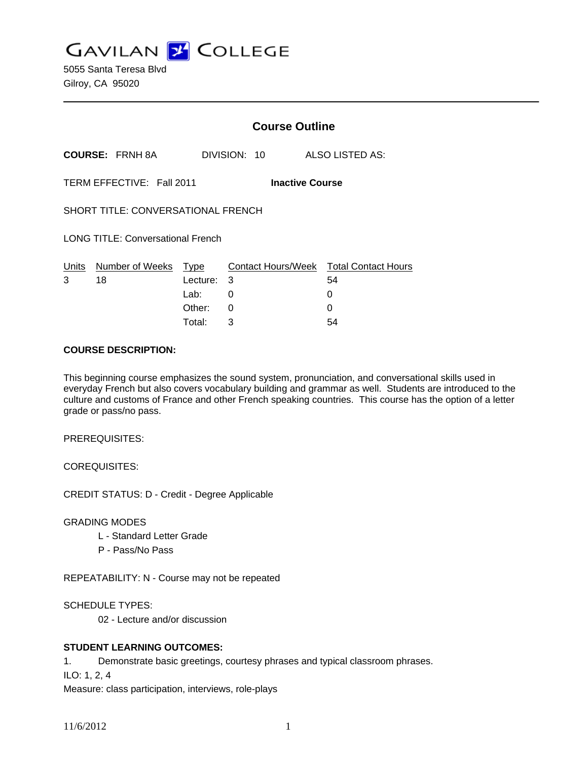**GAVILAN Z COLLEGE** 

5055 Santa Teresa Blvd Gilroy, CA 95020

|                                          |                                    |                            | <b>Course Outline</b>                    |                                            |  |
|------------------------------------------|------------------------------------|----------------------------|------------------------------------------|--------------------------------------------|--|
|                                          | <b>COURSE: FRNH 8A</b>             |                            | DIVISION: 10                             | ALSO LISTED AS:                            |  |
|                                          | TERM EFFECTIVE: Fall 2011          |                            | <b>Inactive Course</b>                   |                                            |  |
|                                          | SHORT TITLE: CONVERSATIONAL FRENCH |                            |                                          |                                            |  |
| <b>LONG TITLE: Conversational French</b> |                                    |                            |                                          |                                            |  |
| <u>Units</u><br>3                        | Number of Weeks Type<br>18         | Lecture:<br>Lab:<br>Other: | <b>Contact Hours/Week</b><br>3<br>0<br>0 | <b>Total Contact Hours</b><br>54<br>0<br>0 |  |
|                                          |                                    | Total:                     | 3                                        | 54                                         |  |

#### **COURSE DESCRIPTION:**

This beginning course emphasizes the sound system, pronunciation, and conversational skills used in everyday French but also covers vocabulary building and grammar as well. Students are introduced to the culture and customs of France and other French speaking countries. This course has the option of a letter grade or pass/no pass.

PREREQUISITES:

COREQUISITES:

CREDIT STATUS: D - Credit - Degree Applicable

GRADING MODES

- L Standard Letter Grade
- P Pass/No Pass

REPEATABILITY: N - Course may not be repeated

SCHEDULE TYPES:

02 - Lecture and/or discussion

## **STUDENT LEARNING OUTCOMES:**

1. Demonstrate basic greetings, courtesy phrases and typical classroom phrases.

ILO: 1, 2, 4

Measure: class participation, interviews, role-plays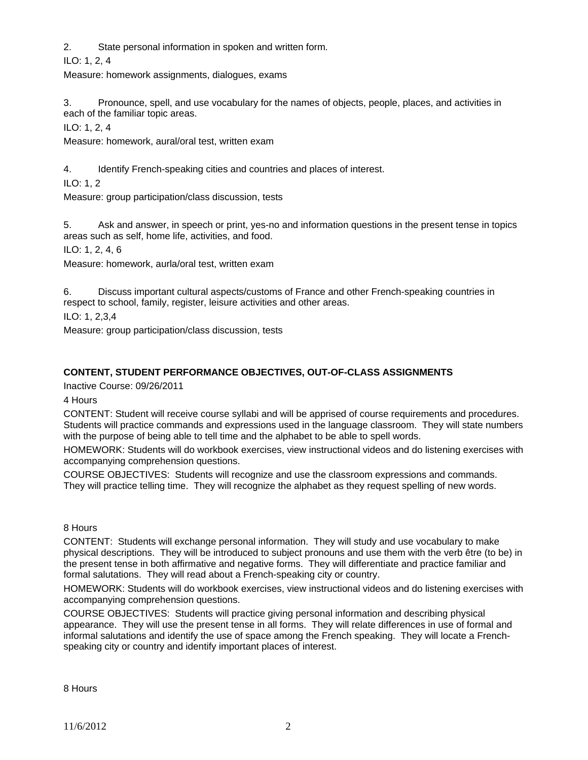2. State personal information in spoken and written form.

ILO: 1, 2, 4

Measure: homework assignments, dialogues, exams

3. Pronounce, spell, and use vocabulary for the names of objects, people, places, and activities in each of the familiar topic areas.

ILO: 1, 2, 4

Measure: homework, aural/oral test, written exam

4. Identify French-speaking cities and countries and places of interest.

ILO: 1, 2

Measure: group participation/class discussion, tests

5. Ask and answer, in speech or print, yes-no and information questions in the present tense in topics areas such as self, home life, activities, and food.

ILO: 1, 2, 4, 6

Measure: homework, aurla/oral test, written exam

6. Discuss important cultural aspects/customs of France and other French-speaking countries in respect to school, family, register, leisure activities and other areas.

ILO: 1, 2,3,4

Measure: group participation/class discussion, tests

## **CONTENT, STUDENT PERFORMANCE OBJECTIVES, OUT-OF-CLASS ASSIGNMENTS**

Inactive Course: 09/26/2011

4 Hours

CONTENT: Student will receive course syllabi and will be apprised of course requirements and procedures. Students will practice commands and expressions used in the language classroom. They will state numbers with the purpose of being able to tell time and the alphabet to be able to spell words.

HOMEWORK: Students will do workbook exercises, view instructional videos and do listening exercises with accompanying comprehension questions.

COURSE OBJECTIVES: Students will recognize and use the classroom expressions and commands. They will practice telling time. They will recognize the alphabet as they request spelling of new words.

8 Hours

CONTENT: Students will exchange personal information. They will study and use vocabulary to make physical descriptions. They will be introduced to subject pronouns and use them with the verb être (to be) in the present tense in both affirmative and negative forms. They will differentiate and practice familiar and formal salutations. They will read about a French-speaking city or country.

HOMEWORK: Students will do workbook exercises, view instructional videos and do listening exercises with accompanying comprehension questions.

COURSE OBJECTIVES: Students will practice giving personal information and describing physical appearance. They will use the present tense in all forms. They will relate differences in use of formal and informal salutations and identify the use of space among the French speaking. They will locate a Frenchspeaking city or country and identify important places of interest.

8 Hours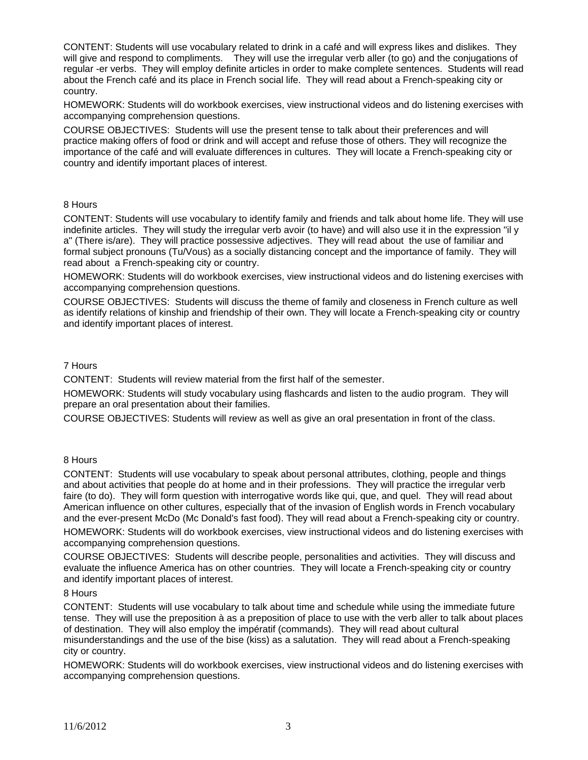CONTENT: Students will use vocabulary related to drink in a café and will express likes and dislikes. They will give and respond to compliments. They will use the irregular verb aller (to go) and the conjugations of regular -er verbs. They will employ definite articles in order to make complete sentences. Students will read about the French café and its place in French social life. They will read about a French-speaking city or country.

HOMEWORK: Students will do workbook exercises, view instructional videos and do listening exercises with accompanying comprehension questions.

COURSE OBJECTIVES: Students will use the present tense to talk about their preferences and will practice making offers of food or drink and will accept and refuse those of others. They will recognize the importance of the café and will evaluate differences in cultures. They will locate a French-speaking city or country and identify important places of interest.

#### 8 Hours

CONTENT: Students will use vocabulary to identify family and friends and talk about home life. They will use indefinite articles. They will study the irregular verb avoir (to have) and will also use it in the expression "il y a" (There is/are). They will practice possessive adjectives. They will read about the use of familiar and formal subject pronouns (Tu/Vous) as a socially distancing concept and the importance of family. They will read about a French-speaking city or country.

HOMEWORK: Students will do workbook exercises, view instructional videos and do listening exercises with accompanying comprehension questions.

COURSE OBJECTIVES: Students will discuss the theme of family and closeness in French culture as well as identify relations of kinship and friendship of their own. They will locate a French-speaking city or country and identify important places of interest.

#### 7 Hours

CONTENT: Students will review material from the first half of the semester.

HOMEWORK: Students will study vocabulary using flashcards and listen to the audio program. They will prepare an oral presentation about their families.

COURSE OBJECTIVES: Students will review as well as give an oral presentation in front of the class.

#### 8 Hours

CONTENT: Students will use vocabulary to speak about personal attributes, clothing, people and things and about activities that people do at home and in their professions. They will practice the irregular verb faire (to do). They will form question with interrogative words like qui, que, and quel. They will read about American influence on other cultures, especially that of the invasion of English words in French vocabulary and the ever-present McDo (Mc Donald's fast food). They will read about a French-speaking city or country.

HOMEWORK: Students will do workbook exercises, view instructional videos and do listening exercises with accompanying comprehension questions.

COURSE OBJECTIVES: Students will describe people, personalities and activities. They will discuss and evaluate the influence America has on other countries. They will locate a French-speaking city or country and identify important places of interest.

#### 8 Hours

CONTENT: Students will use vocabulary to talk about time and schedule while using the immediate future tense. They will use the preposition à as a preposition of place to use with the verb aller to talk about places of destination. They will also employ the impératif (commands). They will read about cultural misunderstandings and the use of the bise (kiss) as a salutation. They will read about a French-speaking city or country.

HOMEWORK: Students will do workbook exercises, view instructional videos and do listening exercises with accompanying comprehension questions.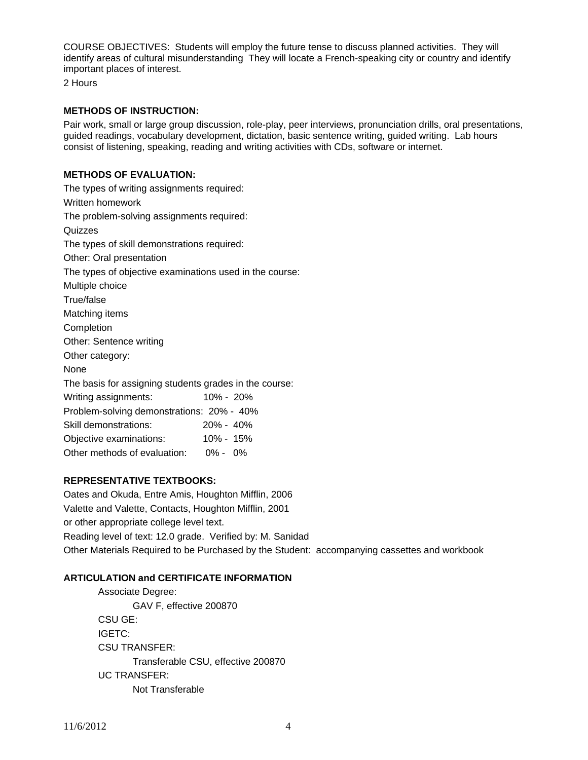COURSE OBJECTIVES: Students will employ the future tense to discuss planned activities. They will identify areas of cultural misunderstanding They will locate a French-speaking city or country and identify important places of interest.

2 Hours

## **METHODS OF INSTRUCTION:**

Pair work, small or large group discussion, role-play, peer interviews, pronunciation drills, oral presentations, guided readings, vocabulary development, dictation, basic sentence writing, guided writing. Lab hours consist of listening, speaking, reading and writing activities with CDs, software or internet.

# **METHODS OF EVALUATION:**

| The types of writing assignments required:              |               |  |  |  |  |
|---------------------------------------------------------|---------------|--|--|--|--|
| Written homework                                        |               |  |  |  |  |
| The problem-solving assignments required:               |               |  |  |  |  |
| Quizzes                                                 |               |  |  |  |  |
| The types of skill demonstrations required:             |               |  |  |  |  |
| Other: Oral presentation                                |               |  |  |  |  |
| The types of objective examinations used in the course: |               |  |  |  |  |
| Multiple choice                                         |               |  |  |  |  |
| True/false                                              |               |  |  |  |  |
| Matching items                                          |               |  |  |  |  |
| Completion                                              |               |  |  |  |  |
| Other: Sentence writing                                 |               |  |  |  |  |
| Other category:                                         |               |  |  |  |  |
| None                                                    |               |  |  |  |  |
| The basis for assigning students grades in the course:  |               |  |  |  |  |
| Writing assignments:                                    | $10\% - 20\%$ |  |  |  |  |
| Problem-solving demonstrations: 20% - 40%               |               |  |  |  |  |
| Skill demonstrations:                                   | 20% - 40%     |  |  |  |  |
| Objective examinations: 10% - 15%                       |               |  |  |  |  |
| Other methods of evaluation: 0% - 0%                    |               |  |  |  |  |

## **REPRESENTATIVE TEXTBOOKS:**

Oates and Okuda, Entre Amis, Houghton Mifflin, 2006 Valette and Valette, Contacts, Houghton Mifflin, 2001 or other appropriate college level text. Reading level of text: 12.0 grade. Verified by: M. Sanidad Other Materials Required to be Purchased by the Student: accompanying cassettes and workbook

## **ARTICULATION and CERTIFICATE INFORMATION**

 Associate Degree: GAV F, effective 200870 CSU GE: IGETC: CSU TRANSFER: Transferable CSU, effective 200870 UC TRANSFER: Not Transferable